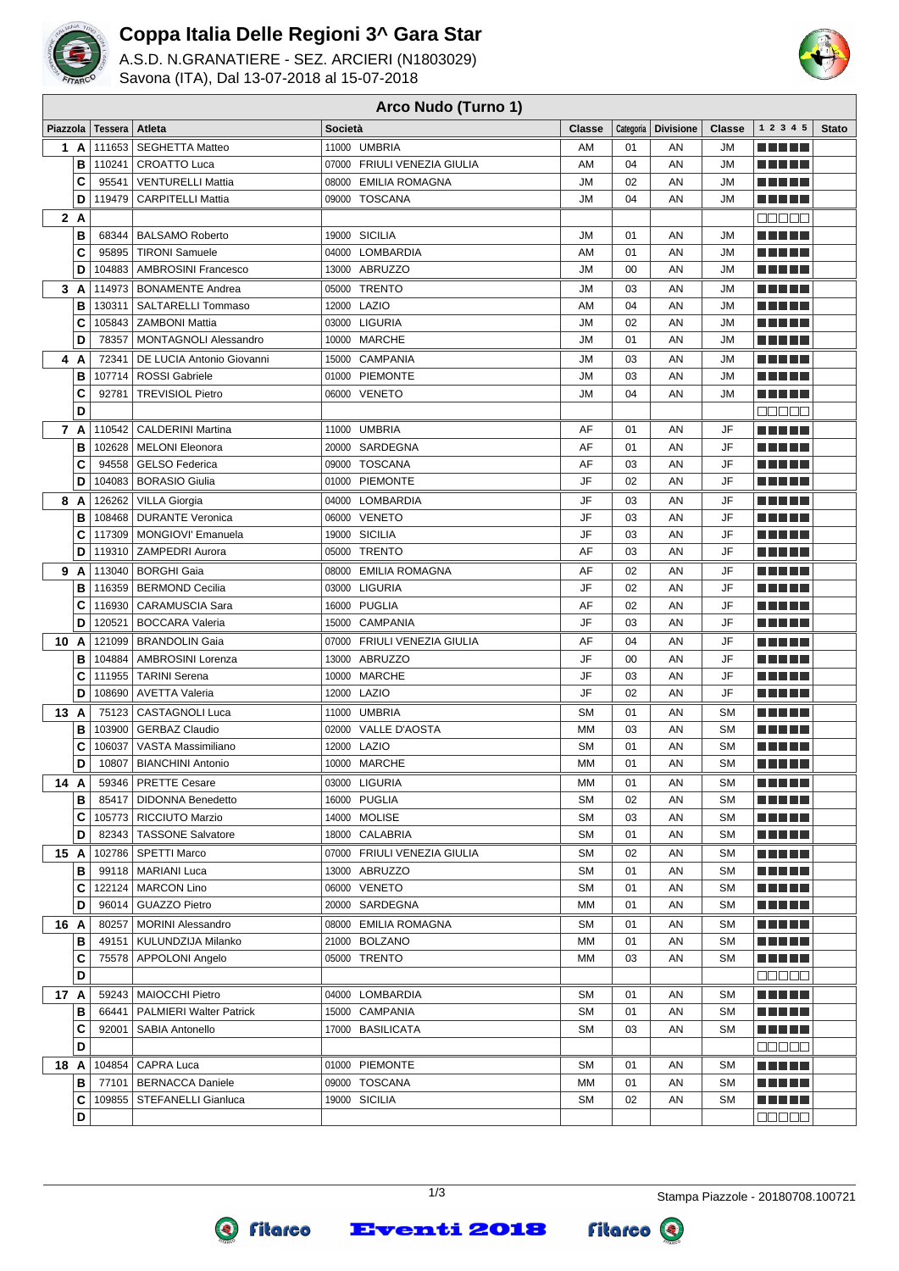

## **Coppa Italia Delle Regioni 3^ Gara Star**

A.S.D. N.GRANATIERE - SEZ. ARCIERI (N1803029) Savona (ITA), Dal 13-07-2018 al 15-07-2018



## **Piazzola Tessera Atleta Società Classe Categoria Divisione Classe 1 2 3 4 5 Stato 1 A**  $\begin{vmatrix} 111653 \end{vmatrix}$  SEGHETTA Matteo  $\begin{vmatrix} 11000 \end{vmatrix}$  UMBRIA  $\begin{vmatrix} 1 \end{vmatrix}$  AM  $\begin{vmatrix} 01 \end{vmatrix}$  AN  $\begin{vmatrix} 1 \end{vmatrix}$  JM **THEFT B** 110241 CROATTO Luca  $\vert$  07000 FRIULI VENEZIA GIULIA  $\vert$  AM  $\vert$  04  $\vert$  AN  $\vert$  JM n din bir **C** 95541 VENTURELLI Mattia  $\begin{array}{|c|c|c|c|c|c|c|c|c|} \hline \textbf{C} & \textbf{95541} & \textbf{VENTURELLI Mattia} \hline \end{array}$ **RICH BILL D** 119479 CARPITELLI Mattia 09000 TOSCANA JM 04 AN JM e de la p **2 A** nnnnn **B** 68344 BALSAMO Roberto 19000 SICILIA JM 01 AN JM n na mar **C** 95895 TIRONI Samuele 04000 LOMBARDIA AM 01 AN JM **REFER D** 104883 AMBROSINI Francesco 13000 ABRUZZO M 3000 AM 300 AM JM **REFER 3 A** 114973 BONAMENTE Andrea 05000 TRENTO JM 03 AN JM ma mata **B** 130311 SALTARELLI Tommaso 12000 LAZIO AM AM 04 AN JM <u>man me</u> **C** 105843 ZAMBONI Mattia  $\begin{array}{|c|c|c|c|c|c|}\n\hline\n\text{C} & 105843 & \text{ZAMBONI Mattia} \\
\hline\n\end{array}$ <u>mana a</u> **D** 78357 MONTAGNOLI Alessandro 10000 MARCHE JM JM 01 AN JM ma mata **4 A** 72341 DE LUCIA Antonio Giovanni 15000 CAMPANIA **1500** Jun 103 AN JUM **RICH BIR B** 107714 ROSSI Gabriele 01000 PIEMONTE JM 03 AN JM n na mats **C** 92781 TREVISIOL Pietro 06000 VENETO JM JM 04 AN JM <u>man ma</u> **D REAL PROPERTY 7 A**  $\vert$  110542  $\vert$  CALDERINI Martina  $\vert$  11000 UMBRIA  $\vert$   $\vert$  AF  $\vert$  01  $\vert$  AN  $\vert$  JF **B** 102628 MELONI Eleonora 20000 SARDEGNA AF 01 AN JF **REAL PROPERTY C** 94558 GELSO Federica 09000 TOSCANA AF 03 AN JF **READER D** 104083 BORASIO Giulia 01000 PIEMONTE JF 02 AN JF <u>man ma</u> n n n n n **8 A** 126262 VILLA Giorgia 04000 LOMBARDIA JF 03 AN JF **B** 108468 DURANTE Veronica 06000 VENETO JF 03 AN JF **REFER C** 117309 MONGIOVI' Emanuela 19000 SICILIA JF 03 AN JF ma mata **D** 119310 ZAMPEDRI Aurora 05000 TRENTO AF 03 AN JF a a sa s **9 A**  $\begin{vmatrix} 113040 & BORGHI Gaia \end{vmatrix}$  **b**  $\begin{vmatrix} 08000 & EMLIA\ ROMAGNA \end{vmatrix}$  **AF**  $\begin{vmatrix} 0 & 0 \end{vmatrix}$  **AN**  $\begin{vmatrix} 0 & 0 \end{vmatrix}$ n nin nin **B** 116359 BERMOND Cecilia 03000 LIGURIA JF 02 AN JF <u> E E E E E</u> **C** 116930 CARAMUSCIA Sara 16000 PUGLIA AF AF 02 AN JF **REFER D** 120521 BOCCARA Valeria 15000 CAMPANIA JF 03 AN JF n n n n n 10 **A** 121099 BRANDOLIN Gaia 07000 FRIULI VENEZIA GIULIA AF 04 AN JF <u>man ma</u> **B** 104884 AMBROSINI Lorenza 13000 ABRUZZO JF 00 AN JF a a shekar **RESIDEN C** 111955 TARINI Serena 10000 MARCHE JF 03 AN JF <u> E E E E</u> **D** 108690 AVETTA Valeria 12000 LAZIO JF 02 AN JF **13 A** 75123 CASTAGNOLI Luca 11000 UMBRIA SM 8M 01 AN SM n na mar **B** 103900 GERBAZ Claudio 02000 VALLE D'AOSTA MM 03 AN SM a a sa san **C** | 106037 | VASTA Massimiliano | 12000 LAZIO | SM | 01 | AN | SM ma mata **D** 10807 BIANCHINI Antonio 10000 MARCHE MM 01 AN SM ma mata **14 A** 59346 PRETTE Cesare 03000 LIGURIA MM 01 AN SM <u> Die Biblio</u> **B** 85417 DIDONNA Benedetto 16000 PUGLIA SM SM 02 AN SM <u>manan</u> **C** 105773 RICCIUTO Marzio 14000 MOLISE SM SM 03 AN SM <u>manan</u> **D** 82343 TASSONE Salvatore 18000 CALABRIA SM SM 01 AN SM <u>mana s</u> **15 A** 102786 SPETTI Marco 07000 FRIULI VENEZIA GIULIA SM 02 AN SM <u>man ma</u> **THEFT B** 99118 MARIANI Luca 13000 ABRUZZO SM SM 01 AN SM **C** 122124 MARCON Lino **CONFING CONSUMERTO CONSUMING AN SM** 01 AN SM n din bir <u> E E E E</u> **D** 96014 GUAZZO Pietro 2000 20000 SARDEGNA MM 01 AN SM **16 A** 80257 MORINI Alessandro 08000 EMILIA ROMAGNA SM 01 AN SM ma mats **B** 49151 KULUNDZIJA Milanko 21000 BOLZANO MM 01 AN SM a a shekar **C** 75578 APPOLONI Angelo 05000 TRENTO MM 03 AN SM ma mata **D** nnnnn **17 A** 59243 MAIOCCHI Pietro **17 A**  $\begin{bmatrix} 04000 & LOMBARDIA \end{bmatrix}$  **CM 300 AN SM**  $\begin{bmatrix} SM & 01 \end{bmatrix}$  AN SM n n n n n **B** 66441 PALMIERI Walter Patrick 15000 CAMPANIA SM 3M 01 AN SM e de la p **C** 92001 SABIA Antonello 17000 BASILICATA New SM 3 AN SM **THE LIFE D** <u>manan</u> **18 A** 104854 CAPRA Luca **18 O1000 PIEMONTE 18 SM 101 AN** SM ma mata **B** 77101 BERNACCA Daniele 09000 TOSCANA MM 01 AN SM **RICH BIR C** 109855 STEFANELLI Gianluca 19000 SICILIA NET SM 3M 02 AN SM n din bir **D** 00000

**Arco Nudo (Turno 1)**

**Eventi 2018** 

**fitarco** 

Q

**Fitarco**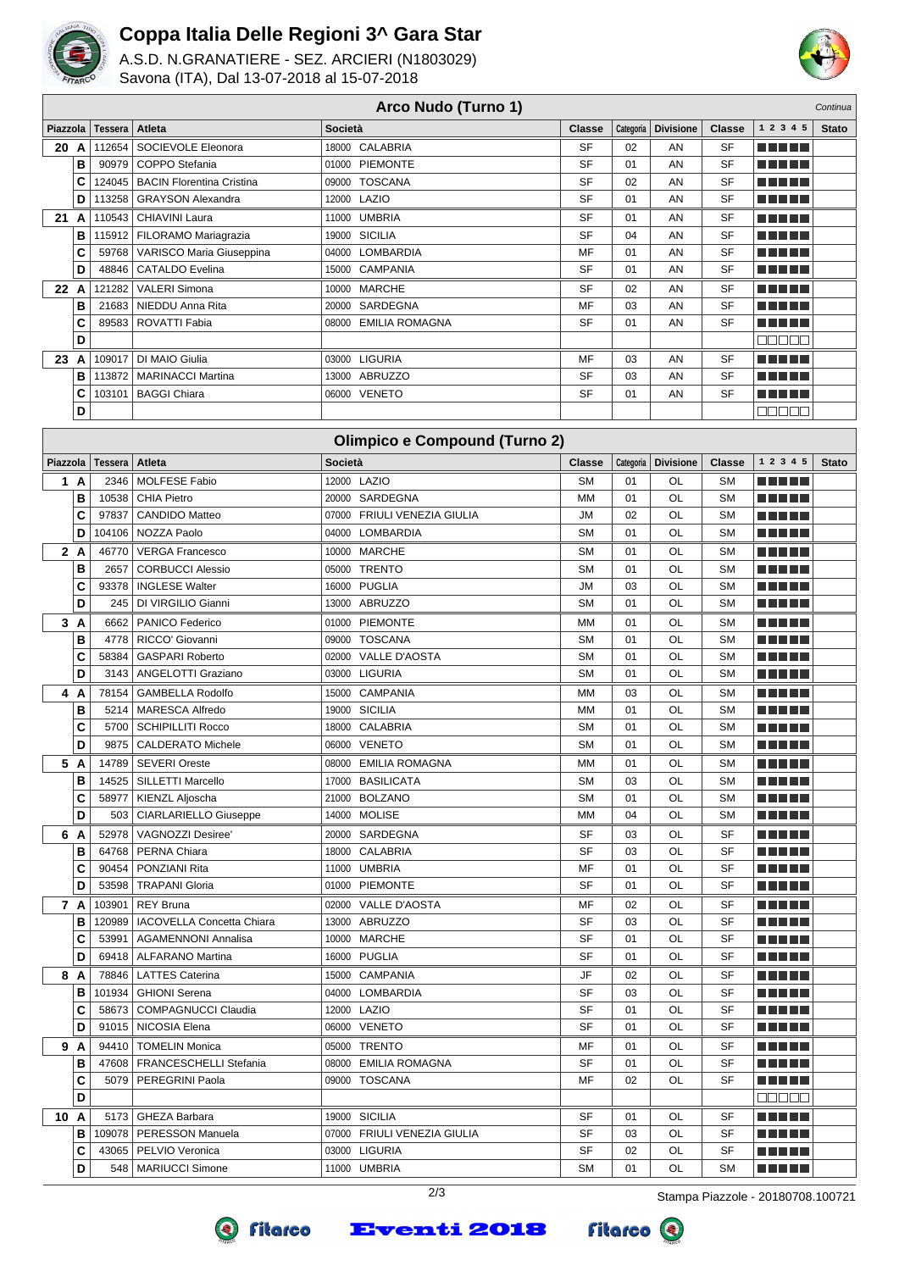

## **Coppa Italia Delle Regioni 3^ Gara Star**

A.S.D. N.GRANATIERE - SEZ. ARCIERI (N1803029) Savona (ITA), Dal 13-07-2018 al 15-07-2018



|          | Arco Nudo (Turno 1)<br>Continua |                |                                                     |                                      |                 |           |                  |                 |                               |              |  |  |  |
|----------|---------------------------------|----------------|-----------------------------------------------------|--------------------------------------|-----------------|-----------|------------------|-----------------|-------------------------------|--------------|--|--|--|
| Piazzola |                                 | <b>Tessera</b> | Atleta                                              | Società                              | <b>Classe</b>   | Categoria | <b>Divisione</b> | <b>Classe</b>   | 1 2 3 4 5                     | <b>Stato</b> |  |  |  |
| 20 A     |                                 | 112654         | SOCIEVOLE Eleonora                                  | 18000 CALABRIA                       | <b>SF</b>       | 02        | AN               | SF              |                               |              |  |  |  |
|          | B                               | 90979          | COPPO Stefania                                      | <b>PIEMONTE</b><br>01000             | <b>SF</b>       | 01        | AN               | SF              | .                             |              |  |  |  |
|          | C                               | 124045         | <b>BACIN Florentina Cristina</b>                    | <b>TOSCANA</b><br>09000              | <b>SF</b>       | 02        | AN               | SF              | a shekara                     |              |  |  |  |
|          | D                               | 113258         | <b>GRAYSON Alexandra</b>                            | LAZIO<br>12000                       | SF              | 01        | AN               | SF              | a shekara                     |              |  |  |  |
| 21       | A                               | 110543         | CHIAVINI Laura                                      | <b>UMBRIA</b><br>11000               | <b>SF</b>       | 01        | AN               | SF              | MA MARI                       |              |  |  |  |
|          | B                               | 115912         | FILORAMO Mariagrazia                                | <b>SICILIA</b><br>19000              | <b>SF</b>       | 04        | AN               | <b>SF</b>       | MA MEL                        |              |  |  |  |
|          | C                               | 59768          | VARISCO Maria Giuseppina                            | <b>LOMBARDIA</b><br>04000            | MF              | 01        | AN               | <b>SF</b>       | T F F E E                     |              |  |  |  |
|          | D                               | 48846          | <b>CATALDO Evelina</b>                              | 15000 CAMPANIA                       | SF              | 01        | AN               | SF              | N N H J L                     |              |  |  |  |
| 22 A     |                                 | 121282         | <b>VALERI Simona</b>                                | 10000 MARCHE                         | SF              | 02        | AN               | SF              | TI TILL                       |              |  |  |  |
|          | B                               | 21683          | NIEDDU Anna Rita                                    | 20000 SARDEGNA                       | MF              | 03        | AN               | SF              |                               |              |  |  |  |
|          | C                               | 89583          | ROVATTI Fabia                                       | 08000 EMILIA ROMAGNA                 | SF              | 01        | AN               | SF              |                               |              |  |  |  |
|          | D                               |                |                                                     |                                      |                 |           |                  |                 | MU V V V                      |              |  |  |  |
| 23       | A                               | 109017         | DI MAIO Giulia                                      | 03000 LIGURIA                        | MF              | 03        | AN               | SF              | MA MBE                        |              |  |  |  |
|          | B                               | 113872         | <b>MARINACCI Martina</b>                            | 13000 ABRUZZO                        | <b>SF</b>       | 03        | AN               | SF              | - 11                          |              |  |  |  |
|          | C                               | 103101         | <b>BAGGI Chiara</b>                                 | 06000 VENETO                         | SF              | 01        | AN               | SF              | TI FI PL                      |              |  |  |  |
|          | D                               |                |                                                     |                                      |                 |           |                  |                 | nnnn                          |              |  |  |  |
|          |                                 |                |                                                     | <b>Olimpico e Compound (Turno 2)</b> |                 |           |                  |                 |                               |              |  |  |  |
| Piazzola |                                 | <b>Tessera</b> | Atleta                                              | Società                              | <b>Classe</b>   | Categoria | <b>Divisione</b> | <b>Classe</b>   | 1 2 3 4 5                     | <b>Stato</b> |  |  |  |
| 1 A      |                                 | 2346           | <b>MOLFESE Fabio</b>                                | 12000 LAZIO                          | <b>SM</b>       | 01        | OL               | <b>SM</b>       | M M M M M                     |              |  |  |  |
|          | B                               | 10538          | <b>CHIA Pietro</b>                                  | SARDEGNA<br>20000                    | <b>MM</b>       | 01        | OL               | <b>SM</b>       |                               |              |  |  |  |
|          | C                               | 97837          | <b>CANDIDO Matteo</b>                               | 07000 FRIULI VENEZIA GIULIA          | <b>JM</b>       | 02        | OL               | <b>SM</b>       | MA MEL                        |              |  |  |  |
|          | D                               | 104106         | NOZZA Paolo                                         | 04000 LOMBARDIA                      | <b>SM</b>       | 01        | OL               | <b>SM</b>       | MA MBE                        |              |  |  |  |
| 2 A      |                                 | 46770          | <b>VERGA Francesco</b>                              | 10000 MARCHE                         | <b>SM</b>       | 01        | OL               | <b>SM</b>       | M M M V U                     |              |  |  |  |
|          | B                               | 2657           | <b>CORBUCCI Alessio</b>                             | <b>TRENTO</b><br>05000               | <b>SM</b>       | 01        | OL               | <b>SM</b>       |                               |              |  |  |  |
|          | C                               | 93378          | <b>INGLESE Walter</b>                               | <b>PUGLIA</b><br>16000               | <b>JM</b>       | 03        | OL               | <b>SM</b>       | n na St                       |              |  |  |  |
|          | D                               | 245            | DI VIRGILIO Gianni                                  | 13000 ABRUZZO                        | <b>SM</b>       | 01        | OL               | <b>SM</b>       | - 11 11                       |              |  |  |  |
| 3 A      |                                 | 6662           | <b>PANICO Federico</b>                              | PIEMONTE<br>01000                    | <b>MM</b>       | 01        | OL               | <b>SM</b>       | n in Film                     |              |  |  |  |
|          | B                               | 4778           | RICCO' Giovanni                                     | <b>TOSCANA</b><br>09000              | <b>SM</b>       | 01        | OL               | <b>SM</b>       | - 11 11                       |              |  |  |  |
|          | C                               | 58384          | <b>GASPARI Roberto</b>                              | 02000 VALLE D'AOSTA                  | <b>SM</b>       | 01        | OL               | <b>SM</b>       | - 11 11                       |              |  |  |  |
|          | D                               | 3143           | ANGELOTTI Graziano                                  | 03000 LIGURIA                        | <b>SM</b>       | 01        | OL               | <b>SM</b>       | a katika Ma                   |              |  |  |  |
| 4        | A                               | 78154          | <b>GAMBELLA Rodolfo</b>                             | 15000 CAMPANIA                       | MM              | 03        | OL               | <b>SM</b>       | a katika Ing                  |              |  |  |  |
|          | В                               | 5214           | <b>MARESCA Alfredo</b>                              | 19000 SICILIA                        | <b>MM</b>       | 01        | OL               | <b>SM</b>       |                               |              |  |  |  |
|          | C                               | 5700           | <b>SCHIPILLITI Rocco</b>                            | CALABRIA<br>18000                    | <b>SM</b>       | 01        | OL               | <b>SM</b>       | N NA HA                       |              |  |  |  |
|          | D                               | 9875           | <b>CALDERATO Michele</b>                            | 06000 VENETO                         | <b>SM</b>       | 01        | OL               | <b>SM</b>       | m a mata                      |              |  |  |  |
| 5 A      |                                 | 14789          | <b>SEVERI Oreste</b>                                | 08000 EMILIA ROMAGNA                 | MM              | 01        | OL               | <b>SM</b>       | .                             |              |  |  |  |
|          | В                               | 14525          | SILLETTI Marcello                                   | 17000 BASILICATA                     | <b>SM</b>       | 03        | OL               | <b>SM</b>       | n din din                     |              |  |  |  |
|          | C                               | 58977          | KIENZL Aljoscha                                     | 21000 BOLZANO                        | <b>SM</b>       | 01        | OL               | <b>SM</b>       | a di seb                      |              |  |  |  |
|          | D                               |                | 503   CIARLARIELLO Giuseppe                         | 14000 MOLISE                         | MM              | 04        | OL               | SΜ              | <b>REBEL</b>                  |              |  |  |  |
| 6 A      |                                 | 52978          | <b>VAGNOZZI Desiree'</b>                            | 20000 SARDEGNA                       | SF              | 03        | OL               | SF              | a da da b                     |              |  |  |  |
|          | в                               |                | 64768   PERNA Chiara                                | 18000 CALABRIA                       | SF              | 03        | OL               | SF              | <u>n na mga</u>               |              |  |  |  |
|          | C                               | 90454          | PONZIANI Rita                                       | 11000 UMBRIA                         | MF              | 01        | OL               | SF              | e de Biblio                   |              |  |  |  |
|          | D                               | 53598          | <b>TRAPANI Gloria</b>                               | 01000 PIEMONTE                       | SF              | 01        | OL               | SF              | <u> Listo de la </u>          |              |  |  |  |
| 7 A      |                                 | 103901         | <b>REY Bruna</b>                                    | 02000 VALLE D'AOSTA                  | MF              | 02        | OL               | SF              | <u> El Bell</u>               |              |  |  |  |
|          | В                               |                | 120989   IACOVELLA Concetta Chiara                  | 13000 ABRUZZO                        | SF              | 03        | OL               | SF              | <u> Literatur</u>             |              |  |  |  |
|          | C                               | 53991          | <b>AGAMENNONI Annalisa</b>                          | 10000 MARCHE                         | SF              | 01        | OL               | SF              | <u> Listo de la </u>          |              |  |  |  |
|          | D                               |                | 69418   ALFARANO Martina                            | 16000 PUGLIA                         | SF              | 01        | OL               | SF              | <u> Literatur</u>             |              |  |  |  |
| 8 A      |                                 | 78846          | <b>LATTES Caterina</b>                              | 15000 CAMPANIA                       | JF<br><b>SF</b> | 02        | OL               | SF<br><b>SF</b> | ME DE L                       |              |  |  |  |
|          | в<br>C                          | 101934         | <b>GHIONI Serena</b><br>58673   COMPAGNUCCI Claudia | 04000 LOMBARDIA<br>12000 LAZIO       | SF              | 03<br>01  | OL<br>OL         | SF              | <u> Literatur</u>             |              |  |  |  |
|          | D                               |                | 91015   NICOSIA Elena                               | 06000 VENETO                         | SF              | 01        | OL               | SF              | MA NE H<br><u> Here i Her</u> |              |  |  |  |
| 9 A      |                                 | 94410          | <b>TOMELIN Monica</b>                               | 05000 TRENTO                         | MF              | 01        |                  | SF              |                               |              |  |  |  |
|          | в                               |                | 47608   FRANCESCHELLI Stefania                      | 08000 EMILIA ROMAGNA                 | SF              | 01        | OL<br>OL         | SF              | <u> Here i Her</u>            |              |  |  |  |
|          | c                               | 5079           | PEREGRINI Paola                                     | 09000 TOSCANA                        | MF              | 02        | OL               | SF              | <u> La La La</u>              |              |  |  |  |
|          | D                               |                |                                                     |                                      |                 |           |                  |                 | 80000                         |              |  |  |  |
| 10 A     |                                 |                | 5173   GHEZA Barbara                                | 19000 SICILIA                        | SF              | 01        | OL               | SF              | <u> Literatur</u>             |              |  |  |  |
|          | в                               |                | 109078   PERESSON Manuela                           | 07000 FRIULI VENEZIA GIULIA          | SF              | 03        | OL               | SF              | a da da                       |              |  |  |  |
|          | C                               |                | 43065   PELVIO Veronica                             | 03000 LIGURIA                        | <b>SF</b>       | 02        | OL               | SF              | <u> Listo de la </u>          |              |  |  |  |
|          | D                               |                | 548   MARIUCCI Simone                               | 11000 UMBRIA                         | <b>SM</b>       | 01        | OL               | <b>SM</b>       | ME NE S                       |              |  |  |  |

**Eventi 2018** 





Fitarco <sup>®</sup>